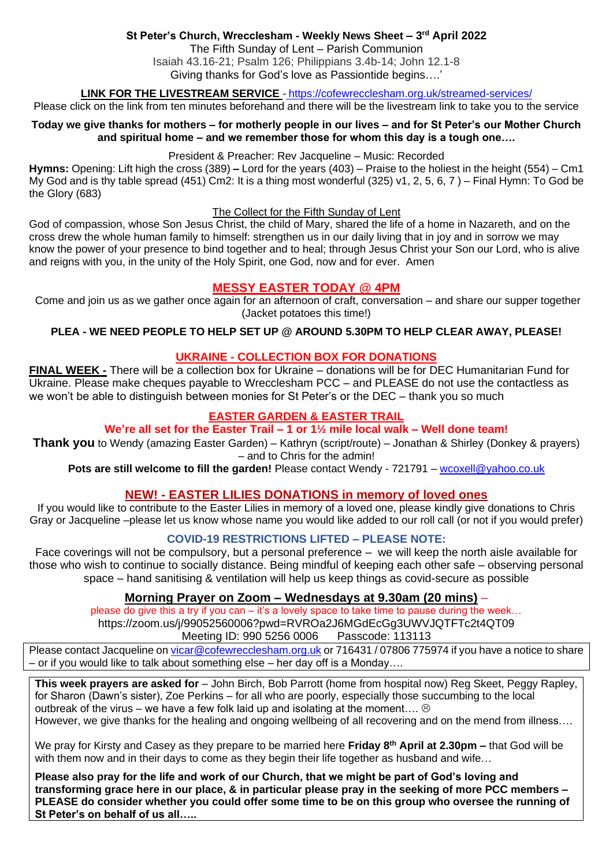# **St Peter's Church, Wrecclesham - Weekly News Sheet – 3 rd April 2022**

The Fifth Sunday of Lent – Parish Communion Isaiah 43.16-21; Psalm 126; Philippians 3.4b-14; John 12.1-8 Giving thanks for God's love as Passiontide begins….'

**LINK FOR THE LIVESTREAM SERVICE** - <https://cofewrecclesham.org.uk/streamed-services/>

Please click on the link from ten minutes beforehand and there will be the livestream link to take you to the service

#### **Today we give thanks for mothers – for motherly people in our lives – and for St Peter's our Mother Church and spiritual home – and we remember those for whom this day is a tough one….**

#### President & Preacher: Rev Jacqueline – Music: Recorded

**Hymns:** Opening: Lift high the cross (389) **–** Lord for the years (403) – Praise to the holiest in the height (554) – Cm1 My God and is thy table spread (451) Cm2: It is a thing most wonderful (325) v1, 2, 5, 6, 7 ) – Final Hymn: To God be the Glory (683)

#### The Collect for the Fifth Sunday of Lent

God of compassion, whose Son Jesus Christ, the child of Mary, shared the life of a home in Nazareth, and on the cross drew the whole human family to himself: strengthen us in our daily living that in joy and in sorrow we may know the power of your presence to bind together and to heal; through Jesus Christ your Son our Lord, who is alive and reigns with you, in the unity of the Holy Spirit, one God, now and for ever. Amen

# **MESSY EASTER TODAY @ 4PM**

Come and join us as we gather once again for an afternoon of craft, conversation – and share our supper together (Jacket potatoes this time!)

### **PLEA - WE NEED PEOPLE TO HELP SET UP @ AROUND 5.30PM TO HELP CLEAR AWAY, PLEASE!**

### **UKRAINE - COLLECTION BOX FOR DONATIONS**

**FINAL WEEK -** There will be a collection box for Ukraine – donations will be for DEC Humanitarian Fund for Ukraine. Please make cheques payable to Wrecclesham PCC – and PLEASE do not use the contactless as we won't be able to distinguish between monies for St Peter's or the DEC – thank you so much

### **EASTER GARDEN & EASTER TRAIL**

### **We're all set for the Easter Trail – 1 or 1½ mile local walk – Well done team!**

**Thank you** to Wendy (amazing Easter Garden) – Kathryn (script/route) – Jonathan & Shirley (Donkey & prayers) – and to Chris for the admin!

**Pots are still welcome to fill the garden!** Please contact Wendy - 721791 – [wcoxell@yahoo.co.uk](mailto:wcoxell@yahoo.co.uk)

# **NEW! - EASTER LILIES DONATIONS in memory of loved ones**

If you would like to contribute to the Easter Lilies in memory of a loved one, please kindly give donations to Chris Gray or Jacqueline –please let us know whose name you would like added to our roll call (or not if you would prefer)

### **COVID-19 RESTRICTIONS LIFTED – PLEASE NOTE:**

Face coverings will not be compulsory, but a personal preference – we will keep the north aisle available for those who wish to continue to socially distance. Being mindful of keeping each other safe – observing personal space – hand sanitising & ventilation will help us keep things as covid-secure as possible

# **Morning Prayer on Zoom – Wednesdays at 9.30am (20 mins)** –

please do give this a try if you can – it's a lovely space to take time to pause during the week… https://zoom.us/j/99052560006?pwd=RVROa2J6MGdEcGg3UWVJQTFTc2t4QT09 Meeting ID: 990 5256 0006 Passcode: 113113

Please contact Jacqueline on [vicar@cofewrecclesham.org.uk](mailto:vicar@cofewrecclesham.org.uk) or 716431 / 07806 775974 if you have a notice to share – or if you would like to talk about something else – her day off is a Monday….

**This week prayers are asked for** – John Birch, Bob Parrott (home from hospital now) Reg Skeet, Peggy Rapley, for Sharon (Dawn's sister), Zoe Perkins – for all who are poorly, especially those succumbing to the local outbreak of the virus – we have a few folk laid up and isolating at the moment....  $\circledcirc$ However, we give thanks for the healing and ongoing wellbeing of all recovering and on the mend from illness….

We pray for Kirsty and Casey as they prepare to be married here **Friday 8 th April at 2.30pm –** that God will be with them now and in their days to come as they begin their life together as husband and wife...

**Please also pray for the life and work of our Church, that we might be part of God's loving and transforming grace here in our place, & in particular please pray in the seeking of more PCC members – PLEASE do consider whether you could offer some time to be on this group who oversee the running of St Peter's on behalf of us all…..**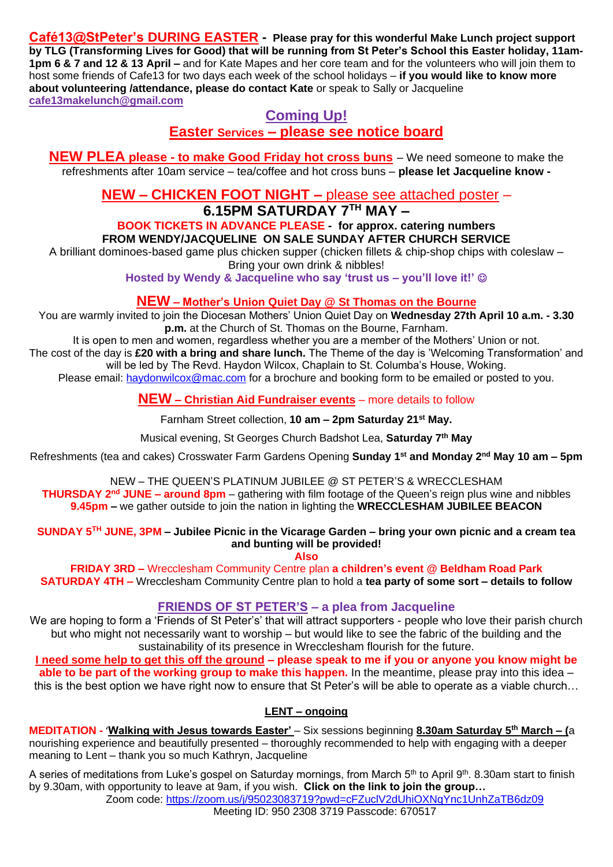**Café13@StPeter's DURING EASTER - Please pray for this wonderful Make Lunch project support by TLG (Transforming Lives for Good) that will be running from St Peter's School this Easter holiday, 11am-1pm 6 & 7 and 12 & 13 April –** and for Kate Mapes and her core team and for the volunteers who will join them to host some friends of Cafe13 for two days each week of the school holidays – **if you would like to know more about volunteering /attendance, please do contact Kate** or speak to Sally or Jacqueline **[cafe13makelunch@gmail.com](mailto:cafe13makelunch@gmail.com)**

# **Coming Up!**

**Easter Services – please see notice board**

**NEW PLEA please - to make Good Friday hot cross buns** – We need someone to make the refreshments after 10am service – tea/coffee and hot cross buns – **please let Jacqueline know -**

**NEW – CHICKEN FOOT NIGHT –** please see attached poster –

# **6.15PM SATURDAY 7TH MAY –**

**BOOK TICKETS IN ADVANCE PLEASE - for approx. catering numbers FROM WENDY/JACQUELINE ON SALE SUNDAY AFTER CHURCH SERVICE**

A brilliant dominoes-based game plus chicken supper (chicken fillets & chip-shop chips with coleslaw – Bring your own drink & nibbles!

**Hosted by Wendy & Jacqueline who say 'trust us – you'll love it!'** ☺

# **NEW – Mother's Union Quiet Day @ St Thomas on the Bourne**

You are warmly invited to join the Diocesan Mothers' Union Quiet Day on **Wednesday 27th April 10 a.m. - 3.30 p.m.** at the Church of St. Thomas on the Bourne, Farnham.

It is open to men and women, regardless whether you are a member of the Mothers' Union or not. The cost of the day is **£20 with a bring and share lunch.** The Theme of the day is 'Welcoming Transformation' and will be led by The Revd. Haydon Wilcox, Chaplain to St. Columba's House, Woking. Please email: [haydonwilcox@mac.com](mailto:haydonwilcox@mac.com) for a brochure and booking form to be emailed or posted to you.

# **NEW – Christian Aid Fundraiser events** – more details to follow

Farnham Street collection, **10 am – 2pm Saturday 21st May.**

Musical evening, St Georges Church Badshot Lea, **Saturday 7th May**

Refreshments (tea and cakes) Crosswater Farm Gardens Opening **Sunday 1st and Monday 2nd May 10 am – 5pm**

NEW – THE QUEEN'S PLATINUM JUBILEE @ ST PETER'S & WRECCLESHAM **THURSDAY 2 nd JUNE – around 8pm** – gathering with film footage of the Queen's reign plus wine and nibbles **9.45pm –** we gather outside to join the nation in lighting the **WRECCLESHAM JUBILEE BEACON**

**SUNDAY 5 TH JUNE, 3PM – Jubilee Picnic in the Vicarage Garden – bring your own picnic and a cream tea and bunting will be provided!**

**Also**

**FRIDAY 3RD –** Wrecclesham Community Centre plan **a children's event @ Beldham Road Park SATURDAY 4TH –** Wrecclesham Community Centre plan to hold a **tea party of some sort – details to follow**

# **FRIENDS OF ST PETER'S – a plea from Jacqueline**

We are hoping to form a 'Friends of St Peter's' that will attract supporters - people who love their parish church but who might not necessarily want to worship – but would like to see the fabric of the building and the sustainability of its presence in Wrecclesham flourish for the future.

**I need some help to get this off the ground – please speak to me if you or anyone you know might be able to be part of the working group to make this happen.** In the meantime, please pray into this idea – this is the best option we have right now to ensure that St Peter's will be able to operate as a viable church…

# **LENT – ongoing**

**MEDITATION -** '**Walking with Jesus towards Easter'** – Six sessions beginning **8.30am Saturday 5th March – (**a nourishing experience and beautifully presented – thoroughly recommended to help with engaging with a deeper meaning to Lent – thank you so much Kathryn, Jacqueline

A series of meditations from Luke's gospel on Saturday mornings, from March 5<sup>th</sup> to April 9<sup>th</sup>, 8.30am start to finish by 9.30am, with opportunity to leave at 9am, if you wish. **Click on the link to join the group…**  Zoom code:<https://zoom.us/j/95023083719?pwd=cFZuclV2dUhiOXNqYnc1UnhZaTB6dz09> Meeting ID: 950 2308 3719 Passcode: 670517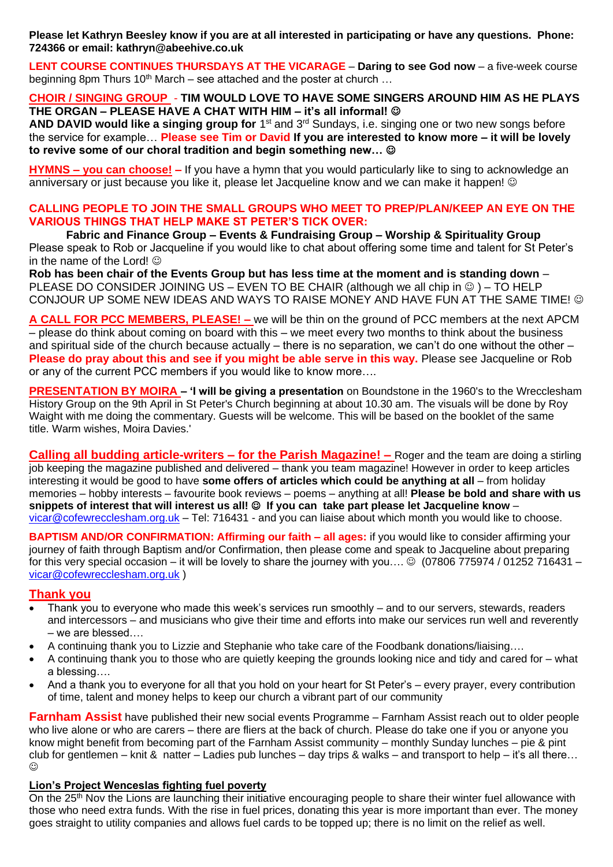**Please let Kathryn Beesley know if you are at all interested in participating or have any questions. Phone: 724366 or email: kathryn@abeehive.co.uk**

**LENT COURSE CONTINUES THURSDAYS AT THE VICARAGE** – **Daring to see God now** – a five-week course beginning 8pm Thurs 10<sup>th</sup> March – see attached and the poster at church ...

# **CHOIR / SINGING GROUP** - **TIM WOULD LOVE TO HAVE SOME SINGERS AROUND HIM AS HE PLAYS THE ORGAN – PLEASE HAVE A CHAT WITH HIM – it's all informal!** ☺

AND DAVID would like a singing group for 1<sup>st</sup> and 3<sup>rd</sup> Sundays, i.e. singing one or two new songs before the service for example… **Please see Tim or David If you are interested to know more – it will be lovely to revive some of our choral tradition and begin something new…** ☺

**HYMNS – you can choose! –** If you have a hymn that you would particularly like to sing to acknowledge an anniversary or just because you like it, please let Jacqueline know and we can make it happen!  $\odot$ 

# **CALLING PEOPLE TO JOIN THE SMALL GROUPS WHO MEET TO PREP/PLAN/KEEP AN EYE ON THE VARIOUS THINGS THAT HELP MAKE ST PETER'S TICK OVER:**

**Fabric and Finance Group – Events & Fundraising Group – Worship & Spirituality Group** Please speak to Rob or Jacqueline if you would like to chat about offering some time and talent for St Peter's in the name of the Lord!  $\odot$ 

**Rob has been chair of the Events Group but has less time at the moment and is standing down** – PLEASE DO CONSIDER JOINING US – EVEN TO BE CHAIR (although we all chip in  $\circledcirc$ ) – TO HELP CONJOUR UP SOME NEW IDEAS AND WAYS TO RAISE MONEY AND HAVE FUN AT THE SAME TIME!  $\odot$ 

**A CALL FOR PCC MEMBERS, PLEASE! –** we will be thin on the ground of PCC members at the next APCM – please do think about coming on board with this – we meet every two months to think about the business and spiritual side of the church because actually – there is no separation, we can't do one without the other – **Please do pray about this and see if you might be able serve in this way.** Please see Jacqueline or Rob or any of the current PCC members if you would like to know more….

**PRESENTATION BY MOIRA – 'I will be giving a presentation** on Boundstone in the 1960's to the Wrecclesham History Group on the 9th April in St Peter's Church beginning at about 10.30 am. The visuals will be done by Roy Waight with me doing the commentary. Guests will be welcome. This will be based on the booklet of the same title. Warm wishes, Moira Davies.'

**Calling all budding article-writers – for the Parish Magazine! –** Roger and the team are doing a stirling job keeping the magazine published and delivered – thank you team magazine! However in order to keep articles interesting it would be good to have **some offers of articles which could be anything at all** – from holiday memories – hobby interests – favourite book reviews – poems – anything at all! **Please be bold and share with us snippets of interest that will interest us all!** ☺ **If you can take part please let Jacqueline know** – [vicar@cofewrecclesham.org.uk](mailto:vicar@cofewrecclesham.org.uk) – Tel: 716431 - and you can liaise about which month you would like to choose.

**BAPTISM AND/OR CONFIRMATION: Affirming our faith – all ages:** if you would like to consider affirming your journey of faith through Baptism and/or Confirmation, then please come and speak to Jacqueline about preparing for this very special occasion – it will be lovely to share the journey with you....  $\odot$  (07806 775974 / 01252 716431 – [vicar@cofewrecclesham.org.uk](mailto:vicar@cofewrecclesham.org.uk) )

# **Thank you**

- Thank you to everyone who made this week's services run smoothly and to our servers, stewards, readers and intercessors – and musicians who give their time and efforts into make our services run well and reverently – we are blessed….
- A continuing thank you to Lizzie and Stephanie who take care of the Foodbank donations/liaising….
- A continuing thank you to those who are quietly keeping the grounds looking nice and tidy and cared for what a blessing….
- And a thank you to everyone for all that you hold on your heart for St Peter's every prayer, every contribution of time, talent and money helps to keep our church a vibrant part of our community

**Farnham Assist** have published their new social events Programme – Farnham Assist reach out to older people who live alone or who are carers – there are fliers at the back of church. Please do take one if you or anyone you know might benefit from becoming part of the Farnham Assist community – monthly Sunday lunches – pie & pint club for gentlemen – knit & natter – Ladies pub lunches – day trips & walks – and transport to help – it's all there…  $\odot$ 

# **Lion's Project Wenceslas fighting fuel poverty**

On the 25<sup>th</sup> Nov the Lions are launching their initiative encouraging people to share their winter fuel allowance with those who need extra funds. With the rise in fuel prices, donating this year is more important than ever. The money goes straight to utility companies and allows fuel cards to be topped up; there is no limit on the relief as well.